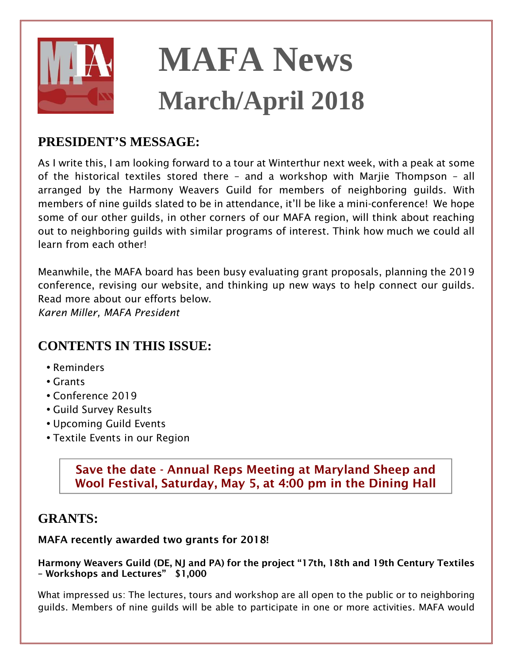

# **MAFA News March/April 2018**

# **PRESIDENT'S MESSAGE:**

*As I write this, I am looking forward to a tour at Winterthur next week, with a peak at some of the historical textiles stored there – and a workshop with Marjie Thompson – all arranged by the Harmony Weavers Guild for members of neighboring guilds. With members of nine guilds slated to be in attendance, it'll be like a mini-conference! We hope some of our other guilds, in other corners of our MAFA region, will think about reaching out to neighboring guilds with similar programs of interest. Think how much we could all learn from each other!* 

*Meanwhile, the MAFA board has been busy evaluating grant proposals, planning the 2019 conference, revising our website, and thinking up new ways to help connect our guilds. Read more about our efforts below.* 

*Karen Miller, MAFA President* 

## **CONTENTS IN THIS ISSUE:**

- *Reminders*
- *Grants*
- *Conference 2019*
- *Guild Survey Results*
- *Upcoming Guild Events*
- *Textile Events in our Region*

**Save the date - Annual Reps Meeting at Maryland Sheep and Wool Festival, Saturday, May 5, at 4:00 pm in the Dining Hall** 

## **GRANTS:**

#### **MAFA recently awarded two grants for 2018!**

#### **Harmony Weavers Guild (DE, NJ and PA) for the project "17th, 18th and 19th Century Textiles – Workshops and Lectures" \$1,000**

What impressed us: The lectures, tours and workshop are all open to the public or to neighboring *guilds. Members of nine guilds will be able to participate in one or more activities. MAFA would*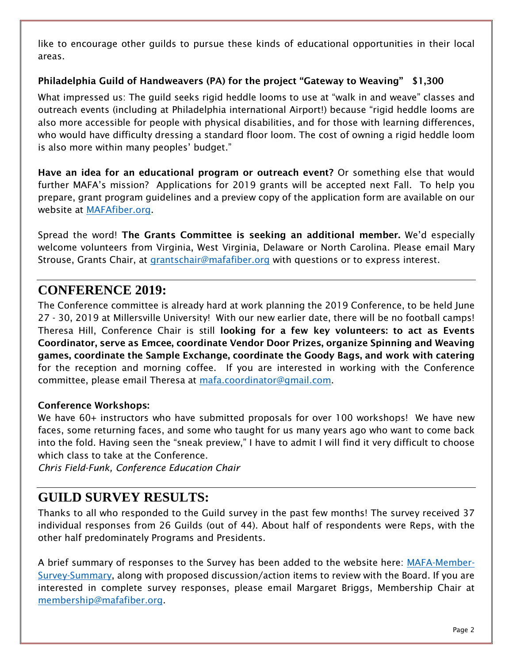like to encourage other guilds to pursue these kinds of educational opportunities in their local *areas.* 

#### **Philadelphia Guild of Handweavers (PA) for the project "Gateway to Weaving" \$1,300**

*What impressed us: The guild seeks rigid heddle looms to use at "walk in and weave" classes and outreach events (including at Philadelphia international Airport!) because "rigid heddle looms are also more accessible for people with physical disabilities, and for those with learning differences,*  who would have difficulty dressing a standard floor loom. The cost of owning a rigid heddle loom *is also more within many peoples' budget."* 

**Have an idea for an educational program or outreach event?** *Or something else that would further MAFA's mission? Applications for 2019 grants will be accepted next Fall. To help you prepare, grant program guidelines and a preview copy of the application form are available on our website at [MAFAfiber.org.](http://www.mafafiber.org/wordpress/grants-and-scholarships/)* 

*Spread the word!* **The Grants Committee is seeking an additional member.** *We'd especially welcome volunteers from Virginia, West Virginia, Delaware or North Carolina. Please email Mary Strouse, Grants Chair, at [grantschair@mafafiber.org w](mailto:grantschair@mafafiber.org)ith questions or to express interest.* 

## **CONFERENCE 2019:**

*The Conference committee is already hard at work planning the 2019 Conference, to be held June 27 - 30, 2019 at Millersville University! With our new earlier date, there will be no football camps! Theresa Hill, Conference Chair is still* **looking for a few key volunteers: to act as Events Coordinator, serve as Emcee, coordinate Vendor Door Prizes, organize Spinning and Weaving games, coordinate the Sample Exchange, coordinate the Goody Bags, and work with catering** *for the reception and morning coffee. If you are interested in working with the Conference committee, please email Theresa at [mafa.coordinator@gmail.com.](mailto:mafa.coordinator@gmail.com)* 

#### **Conference Workshops:**

*We have 60+ instructors who have submitted proposals for over 100 workshops! We have new faces, some returning faces, and some who taught for us many years ago who want to come back into the fold. Having seen the "sneak preview," I have to admit I will find it very difficult to choose which class to take at the Conference.* 

*Chris Field-Funk, Conference Education Chair* 

## **GUILD SURVEY RESULTS:**

*Thanks to all who responded to the Guild survey in the past few months! The survey received 37 individual responses from 26 Guilds (out of 44). About half of respondents were Reps, with the other half predominately Programs and Presidents.* 

*A brief summary of responses to the Survey has been added to the website here: [MAFA-Member-](http://www.mafafiber.org/wordpress/wp-content/uploads/2018/02/MAFA-Member-Survey-Summary-for-Website.pdf)[Survey-Summary,](http://www.mafafiber.org/wordpress/wp-content/uploads/2018/02/MAFA-Member-Survey-Summary-for-Website.pdf) along with proposed discussion/action items to review with the Board. If you are interested in complete survey responses, please email Margaret Briggs, Membership Chair at [membership@mafafiber.org.](mailto:membership@mafafiber.org)*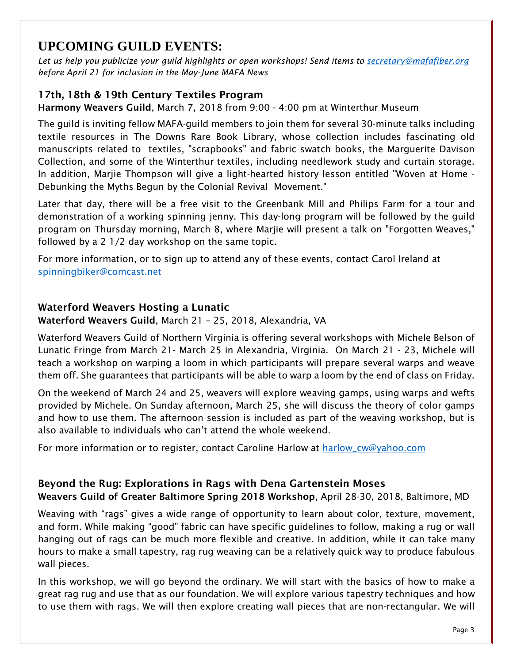# **UPCOMING GUILD EVENTS:**

*Let us help you publicize your guild highlights or open workshops! Send items to [secretary@mafafiber.org](mailto:secretary@mafafiber.org) before April 21 for inclusion in the May-June MAFA News* 

### **17th, 18th & 19th Century Textiles Program**

**Harmony Weavers Guild***, March 7, 2018 from 9:00 - 4:00 pm at Winterthur Museum* 

*The guild is inviting fellow MAFA-guild members to join them for several 30-minute talks including textile resources in The Downs Rare Book Library, whose collection includes fascinating old manuscripts related to textiles, "scrapbooks" and fabric swatch books, the Marguerite Davison Collection, and some of the Winterthur textiles, including needlework study and curtain storage. In addition, Marjie Thompson will give a light-hearted history lesson entitled "Woven at Home - Debunking the Myths Begun by the Colonial Revival Movement."* 

Later that day, there will be a free visit to the Greenbank Mill and Philips Farm for a tour and *demonstration of a working spinning jenny. This day-long program will be followed by the guild program on Thursday morning, March 8, where Marjie will present a talk on "Forgotten Weaves," followed by a 2 1/2 day workshop on the same topic.* 

*For more information, or to sign up to attend any of these events, contact Carol Ireland at [spinningbiker@comcast.net](mailto:spinningbiker@comcast.net)*

#### **Waterford Weavers Hosting a Lunatic**

**Waterford Weavers Guild***, March 21 – 25, 2018, Alexandria, VA* 

*Waterford Weavers Guild of Northern Virginia is offering several workshops with Michele Belson of Lunatic Fringe from March 21- March 25 in Alexandria, Virginia. On March 21 - 23, Michele will teach a workshop on warping a loom in which participants will prepare several warps and weave them off. She guarantees that participants will be able to warp a loom by the end of class on Friday.* 

*On the weekend of March 24 and 25, weavers will explore weaving gamps, using warps and wefts provided by Michele. On Sunday afternoon, March 25, she will discuss the theory of color gamps and how to use them. The afternoon session is included as part of the weaving workshop, but is also available to individuals who can't attend the whole weekend.* 

*For more information or to register, contact Caroline Harlow at [harlow\\_cw@yahoo.com](mailto:harlow_cw@yahoo.com)*

## **Beyond the Rug: Explorations in Rags with Dena Gartenstein Moses**

**Weavers Guild of Greater Baltimore Spring 2018 Workshop***, April 28-30, 2018, Baltimore, MD* 

*Weaving with "rags" gives a wide range of opportunity to learn about color, texture, movement, and form. While making "good" fabric can have specific guidelines to follow, making a rug or wall hanging out of rags can be much more flexible and creative. In addition, while it can take many hours to make a small tapestry, rag rug weaving can be a relatively quick way to produce fabulous wall pieces.* 

*In this workshop, we will go beyond the ordinary. We will start with the basics of how to make a great rag rug and use that as our foundation. We will explore various tapestry techniques and how*  to use them with rags. We will then explore creating wall pieces that are non-rectangular. We will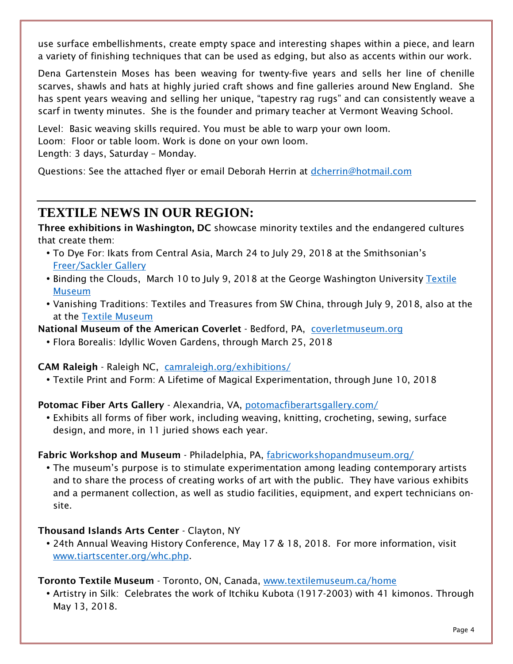*use surface embellishments, create empty space and interesting shapes within a piece, and learn a variety of finishing techniques that can be used as edging, but also as accents within our work.* 

*Dena Gartenstein Moses has been weaving for twenty-five years and sells her line of chenille scarves, shawls and hats at highly juried craft shows and fine galleries around New England. She has spent years weaving and selling her unique, "tapestry rag rugs" and can consistently weave a scarf in twenty minutes. She is the founder and primary teacher at Vermont Weaving School.* 

Level: Basic weaving skills required. You must be able to warp your own loom. *Loom: Floor or table loom. Work is done on your own loom. Length: 3 days, Saturday – Monday.* 

*Questions: See the attached flyer or email Deborah Herrin at [dcherrin@hotmail.com](mailto:dcherrin@hotmail.com)*

## **TEXTILE NEWS IN OUR REGION:**

**Three exhibitions in Washington, DC** *showcase minority textiles and the endangered cultures that create them:* 

- *To Dye For: Ikats from Central Asia, March 24 to July 29, 2018 at the Smithsonian's [Freer/Sackler Gallery](https://www.freersackler.si.edu/)*
- *Binding the Clouds, March 10 to July 9, 2018 at the George Washington University [Textile](https://museum.gwu.edu/clouds)  [Museum](https://museum.gwu.edu/clouds)*
- *Vanishing Traditions: Textiles and Treasures from SW China, through July 9, 2018, also at the at the [Textile Museum](https://museum.gwu.edu/clouds)*

**National Museum of the American Coverlet** *- Bedford, PA, [coverletmuseum.org](http://coverletmuseum.org/)*

• *Flora Borealis: Idyllic Woven Gardens, through March 25, 2018* 

#### **CAM Raleigh** *- Raleigh NC, [camraleigh.org/exhibitions/](http://camraleigh.org/exhibitions/)*

• *Textile Print and Form: A Lifetime of Magical Experimentation, through June 10, 2018* 

**Potomac Fiber Arts Gallery** *- Alexandria, VA, [potomacfiberartsgallery.com/](http://www.potomacfiberartsgallery.com/)*

• *Exhibits all forms of fiber work, including weaving, knitting, crocheting, sewing, surface design, and more, in 11 juried shows each year.* 

#### **Fabric Workshop and Museum** *- Philadelphia, PA, [fabricworkshopandmuseum.org/](http://fabricworkshopandmuseum.org/)*

• *The museum's purpose is to stimulate experimentation among leading contemporary artists and to share the process of creating works of art with the public. They have various exhibits and a permanent collection, as well as studio facilities, equipment, and expert technicians onsite.* 

#### **Thousand Islands Arts Center** *- Clayton, NY*

• *24th Annual Weaving History Conference, May 17 & 18, 2018. For more information, visit [www.tiartscenter.org/whc.php.](http://www.tiartscenter.org/whc.php)* 

#### **Toronto Textile Museum** *- Toronto, ON, Canada, [www.textilemuseum.ca/home](http://www.textilemuseum.ca/home)*

• *Artistry in Silk: Celebrates the work of Itchiku Kubota (1917-2003) with 41 kimonos. Through May 13, 2018.*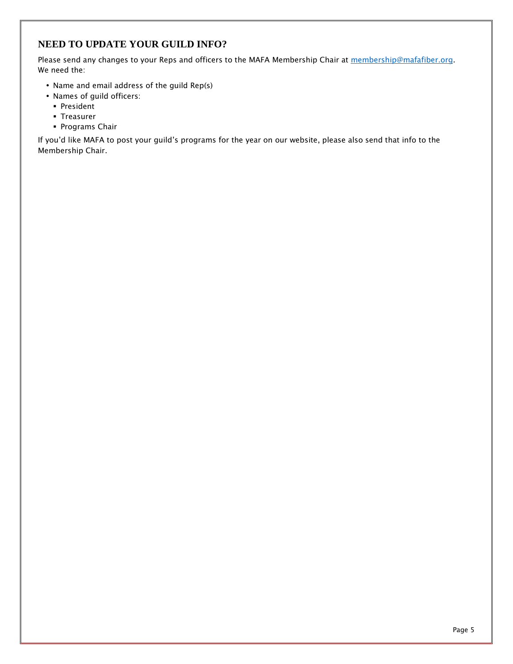#### **NEED TO UPDATE YOUR GUILD INFO?**

*Please send any changes to your Reps and officers to the MAFA Membership Chair at <i>membership@mafafiber.org. We need the:* 

- *Name and email address of the guild Rep(s)*
- *Names of guild officers:* 
	- *President*
	- *Treasurer*
	- *Programs Chair*

*If you'd like MAFA to post your guild's programs for the year on our website, please also send that info to the Membership Chair.*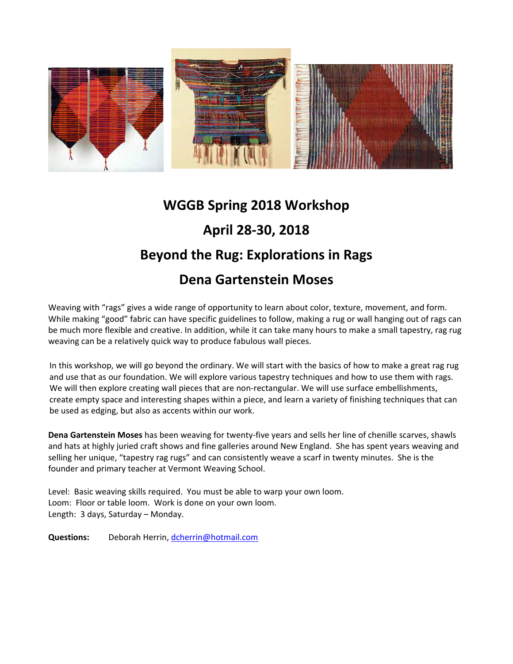

# **WGGB Spring 2018 Workshop**

# **April 28‐30, 2018**

# **Beyond the Rug: Explorations in Rags**

# **Dena Gartenstein Moses**

Weaving with "rags" gives a wide range of opportunity to learn about color, texture, movement, and form. While making "good" fabric can have specific guidelines to follow, making a rug or wall hanging out of rags can be much more flexible and creative. In addition, while it can take many hours to make a small tapestry, rag rug weaving can be a relatively quick way to produce fabulous wall pieces.

In this workshop, we will go beyond the ordinary. We will start with the basics of how to make a great rag rug and use that as our foundation. We will explore various tapestry techniques and how to use them with rags. We will then explore creating wall pieces that are non-rectangular. We will use surface embellishments, create empty space and interesting shapes within a piece, and learn a variety of finishing techniques that can be used as edging, but also as accents within our work.

**Dena Gartenstein Moses** has been weaving for twenty‐five years and sells her line of chenille scarves, shawls and hats at highly juried craft shows and fine galleries around New England. She has spent years weaving and selling her unique, "tapestry rag rugs" and can consistently weave a scarf in twenty minutes. She is the founder and primary teacher at Vermont Weaving School.

Level: Basic weaving skills required. You must be able to warp your own loom. Loom: Floor or table loom. Work is done on your own loom. Length: 3 days, Saturday – Monday.

**Questions:** Deborah Herrin, dcherrin@hotmail.com